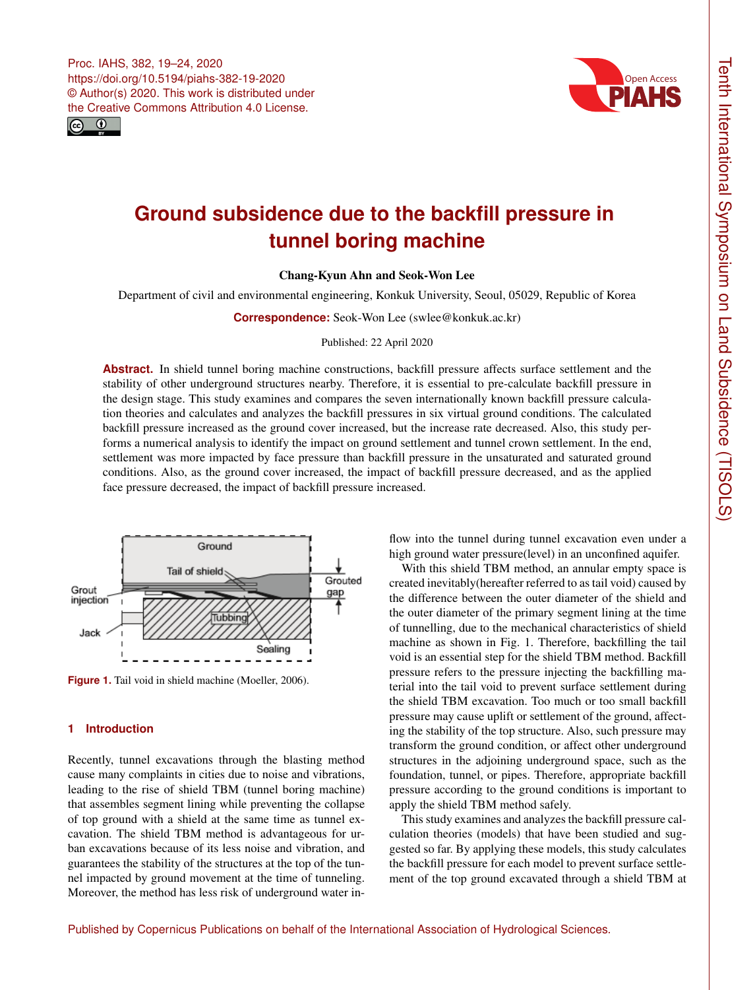Proc. IAHS, 382, 19–24, 2020 https://doi.org/10.5194/piahs-382-19-2020 © Author(s) 2020. This work is distributed under the Creative Commons Attribution 4.0 License.





# **Ground subsidence due to the backfill pressure in tunnel boring machine**

Chang-Kyun Ahn and Seok-Won Lee

Department of civil and environmental engineering, Konkuk University, Seoul, 05029, Republic of Korea

**Correspondence:** Seok-Won Lee (swlee@konkuk.ac.kr)

Published: 22 April 2020

**Abstract.** In shield tunnel boring machine constructions, backfill pressure affects surface settlement and the stability of other underground structures nearby. Therefore, it is essential to pre-calculate backfill pressure in the design stage. This study examines and compares the seven internationally known backfill pressure calculation theories and calculates and analyzes the backfill pressures in six virtual ground conditions. The calculated backfill pressure increased as the ground cover increased, but the increase rate decreased. Also, this study performs a numerical analysis to identify the impact on ground settlement and tunnel crown settlement. In the end, settlement was more impacted by face pressure than backfill pressure in the unsaturated and saturated ground conditions. Also, as the ground cover increased, the impact of backfill pressure decreased, and as the applied face pressure decreased, the impact of backfill pressure increased.



Figure 1. Tail void in shield machine (Moeller, 2006).

# **1 Introduction**

Recently, tunnel excavations through the blasting method cause many complaints in cities due to noise and vibrations, leading to the rise of shield TBM (tunnel boring machine) that assembles segment lining while preventing the collapse of top ground with a shield at the same time as tunnel excavation. The shield TBM method is advantageous for urban excavations because of its less noise and vibration, and guarantees the stability of the structures at the top of the tunnel impacted by ground movement at the time of tunneling. Moreover, the method has less risk of underground water inflow into the tunnel during tunnel excavation even under a high ground water pressure(level) in an unconfined aquifer.

With this shield TBM method, an annular empty space is created inevitably(hereafter referred to as tail void) caused by the difference between the outer diameter of the shield and the outer diameter of the primary segment lining at the time of tunnelling, due to the mechanical characteristics of shield machine as shown in Fig. 1. Therefore, backfilling the tail void is an essential step for the shield TBM method. Backfill pressure refers to the pressure injecting the backfilling material into the tail void to prevent surface settlement during the shield TBM excavation. Too much or too small backfill pressure may cause uplift or settlement of the ground, affecting the stability of the top structure. Also, such pressure may transform the ground condition, or affect other underground structures in the adjoining underground space, such as the foundation, tunnel, or pipes. Therefore, appropriate backfill pressure according to the ground conditions is important to apply the shield TBM method safely.

This study examines and analyzes the backfill pressure calculation theories (models) that have been studied and suggested so far. By applying these models, this study calculates the backfill pressure for each model to prevent surface settlement of the top ground excavated through a shield TBM at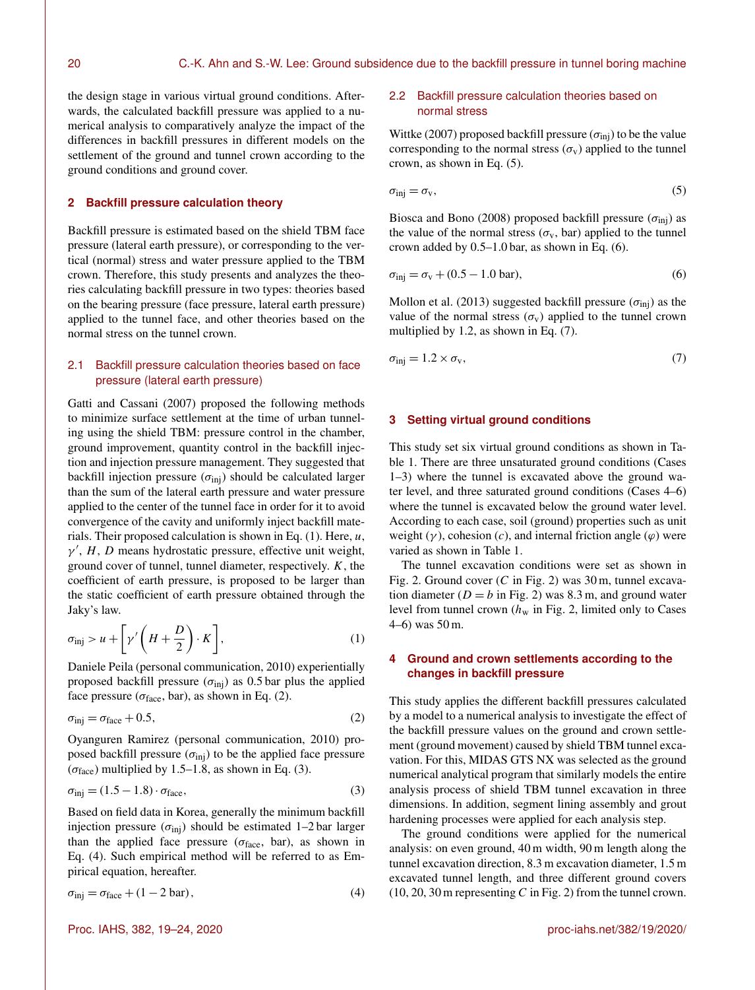the design stage in various virtual ground conditions. Afterwards, the calculated backfill pressure was applied to a numerical analysis to comparatively analyze the impact of the differences in backfill pressures in different models on the settlement of the ground and tunnel crown according to the ground conditions and ground cover.

# **2 Backfill pressure calculation theory**

Backfill pressure is estimated based on the shield TBM face pressure (lateral earth pressure), or corresponding to the vertical (normal) stress and water pressure applied to the TBM crown. Therefore, this study presents and analyzes the theories calculating backfill pressure in two types: theories based on the bearing pressure (face pressure, lateral earth pressure) applied to the tunnel face, and other theories based on the normal stress on the tunnel crown.

## 2.1 Backfill pressure calculation theories based on face pressure (lateral earth pressure)

Gatti and Cassani (2007) proposed the following methods to minimize surface settlement at the time of urban tunneling using the shield TBM: pressure control in the chamber, ground improvement, quantity control in the backfill injection and injection pressure management. They suggested that backfill injection pressure  $(\sigma_{\text{inj}})$  should be calculated larger than the sum of the lateral earth pressure and water pressure applied to the center of the tunnel face in order for it to avoid convergence of the cavity and uniformly inject backfill materials. Their proposed calculation is shown in Eq.  $(1)$ . Here,  $u$ ,  $\gamma'$ , H, D means hydrostatic pressure, effective unit weight, ground cover of tunnel, tunnel diameter, respectively.  $K$ , the coefficient of earth pressure, is proposed to be larger than the static coefficient of earth pressure obtained through the Jaky's law.

$$
\sigma_{\text{inj}} > u + \left[ \gamma' \left( H + \frac{D}{2} \right) \cdot K \right], \tag{1}
$$

Daniele Peila (personal communication, 2010) experientially proposed backfill pressure ( $\sigma_{\text{inj}}$ ) as 0.5 bar plus the applied face pressure ( $\sigma_{\text{face}}$ , bar), as shown in Eq. (2).

$$
\sigma_{\text{inj}} = \sigma_{\text{face}} + 0.5,\tag{2}
$$

Oyanguren Ramirez (personal communication, 2010) proposed backfill pressure  $(\sigma_{\text{inj}})$  to be the applied face pressure ( $\sigma_{\text{face}}$ ) multiplied by 1.5–1.8, as shown in Eq. (3).

$$
\sigma_{\text{inj}} = (1.5 - 1.8) \cdot \sigma_{\text{face}},\tag{3}
$$

Based on field data in Korea, generally the minimum backfill injection pressure ( $\sigma_{\text{ini}}$ ) should be estimated 1–2 bar larger than the applied face pressure ( $\sigma_{\text{face}}$ , bar), as shown in Eq. (4). Such empirical method will be referred to as Empirical equation, hereafter.

$$
\sigma_{\text{inj}} = \sigma_{\text{face}} + (1 - 2 \text{ bar}),\tag{4}
$$

## 2.2 Backfill pressure calculation theories based on normal stress

Wittke (2007) proposed backfill pressure ( $\sigma_{\text{inj}}$ ) to be the value corresponding to the normal stress  $(\sigma_v)$  applied to the tunnel crown, as shown in Eq. (5).

$$
\sigma_{\rm inj} = \sigma_{\rm v},\tag{5}
$$

Biosca and Bono (2008) proposed backfill pressure ( $\sigma_{\text{inj}}$ ) as the value of the normal stress ( $\sigma_{v}$ , bar) applied to the tunnel crown added by 0.5–1.0 bar, as shown in Eq. (6).

$$
\sigma_{\text{inj}} = \sigma_{\text{v}} + (0.5 - 1.0 \text{ bar}),\tag{6}
$$

Mollon et al. (2013) suggested backfill pressure ( $\sigma_{\text{inj}}$ ) as the value of the normal stress  $(\sigma_{v})$  applied to the tunnel crown multiplied by 1.2, as shown in Eq. (7).

$$
\sigma_{\text{inj}} = 1.2 \times \sigma_{\text{v}},\tag{7}
$$

#### **3 Setting virtual ground conditions**

This study set six virtual ground conditions as shown in Table 1. There are three unsaturated ground conditions (Cases 1–3) where the tunnel is excavated above the ground water level, and three saturated ground conditions (Cases 4–6) where the tunnel is excavated below the ground water level. According to each case, soil (ground) properties such as unit weight  $(\gamma)$ , cohesion  $(c)$ , and internal friction angle  $(\varphi)$  were varied as shown in Table 1.

The tunnel excavation conditions were set as shown in Fig. 2. Ground cover  $(C \text{ in Fig. 2})$  was  $30 \text{ m}$ , tunnel excavation diameter ( $D = b$  in Fig. 2) was 8.3 m, and ground water level from tunnel crown ( $h_w$  in Fig. 2, limited only to Cases 4–6) was 50 m.

## **4 Ground and crown settlements according to the changes in backfill pressure**

This study applies the different backfill pressures calculated by a model to a numerical analysis to investigate the effect of the backfill pressure values on the ground and crown settlement (ground movement) caused by shield TBM tunnel excavation. For this, MIDAS GTS NX was selected as the ground numerical analytical program that similarly models the entire analysis process of shield TBM tunnel excavation in three dimensions. In addition, segment lining assembly and grout hardening processes were applied for each analysis step.

The ground conditions were applied for the numerical analysis: on even ground, 40 m width, 90 m length along the tunnel excavation direction, 8.3 m excavation diameter, 1.5 m excavated tunnel length, and three different ground covers  $(10, 20, 30 \text{ m}$  representing C in Fig. 2) from the tunnel crown.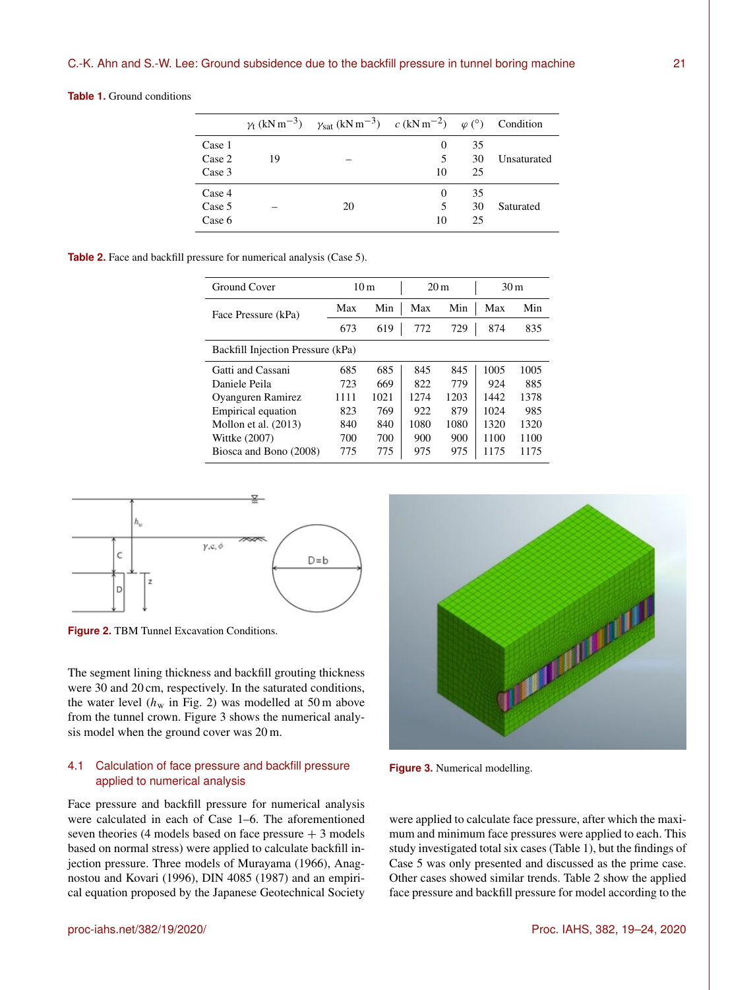**Table 1.** Ground conditions

|        |    | $\gamma_t$ (kN m <sup>-3</sup> ) $\gamma_{sat}$ (kN m <sup>-3</sup> ) $c$ (kN m <sup>-2</sup> ) $\varphi$ (°) Condition |    |    |             |
|--------|----|-------------------------------------------------------------------------------------------------------------------------|----|----|-------------|
| Case 1 |    |                                                                                                                         | 0  | 35 |             |
| Case 2 | 19 |                                                                                                                         | 5  | 30 | Unsaturated |
| Case 3 |    |                                                                                                                         | 10 | 25 |             |
| Case 4 |    |                                                                                                                         | 0  | 35 |             |
| Case 5 |    | 20                                                                                                                      | 5  | 30 | Saturated   |
| Case 6 |    |                                                                                                                         | 10 | 25 |             |

**Table 2.** Face and backfill pressure for numerical analysis (Case 5).

| Ground Cover                      |      | 10 <sub>m</sub> | 20 <sub>m</sub> |      | 30 <sub>m</sub> |      |  |  |  |  |
|-----------------------------------|------|-----------------|-----------------|------|-----------------|------|--|--|--|--|
| Face Pressure (kPa)               | Max  | Min             | Max             | Min  | Max             | Min  |  |  |  |  |
|                                   | 673  | 619             | 772             | 729  | 874             | 835  |  |  |  |  |
| Backfill Injection Pressure (kPa) |      |                 |                 |      |                 |      |  |  |  |  |
| Gatti and Cassani                 | 685  | 685             | 845             | 845  | 1005            | 1005 |  |  |  |  |
| Daniele Peila                     | 723  | 669             | 822             | 779  | 924             | 885  |  |  |  |  |
| Oyanguren Ramirez                 | 1111 | 1021            | 1274            | 1203 | 1442            | 1378 |  |  |  |  |
| Empirical equation                | 823  | 769             | 922             | 879  | 1024            | 985  |  |  |  |  |
| Mollon et al. (2013)              | 840  | 840             | 1080            | 1080 | 1320            | 1320 |  |  |  |  |
| Wittke (2007)                     | 700  | 700             | 900             | 900  | 1100            | 1100 |  |  |  |  |
| Biosca and Bono (2008)            | 775  | 775             | 975             | 975  | 1175            | 1175 |  |  |  |  |



**Figure 2.** TBM Tunnel Excavation Conditions.

The segment lining thickness and backfill grouting thickness were 30 and 20 cm, respectively. In the saturated conditions, the water level  $(h_w$  in Fig. 2) was modelled at 50 m above from the tunnel crown. Figure 3 shows the numerical analysis model when the ground cover was 20 m.

## 4.1 Calculation of face pressure and backfill pressure applied to numerical analysis

Face pressure and backfill pressure for numerical analysis were calculated in each of Case 1–6. The aforementioned seven theories (4 models based on face pressure  $+3$  models based on normal stress) were applied to calculate backfill injection pressure. Three models of Murayama (1966), Anagnostou and Kovari (1996), DIN 4085 (1987) and an empirical equation proposed by the Japanese Geotechnical Society



**Figure 3.** Numerical modelling.

were applied to calculate face pressure, after which the maximum and minimum face pressures were applied to each. This study investigated total six cases (Table 1), but the findings of Case 5 was only presented and discussed as the prime case. Other cases showed similar trends. Table 2 show the applied face pressure and backfill pressure for model according to the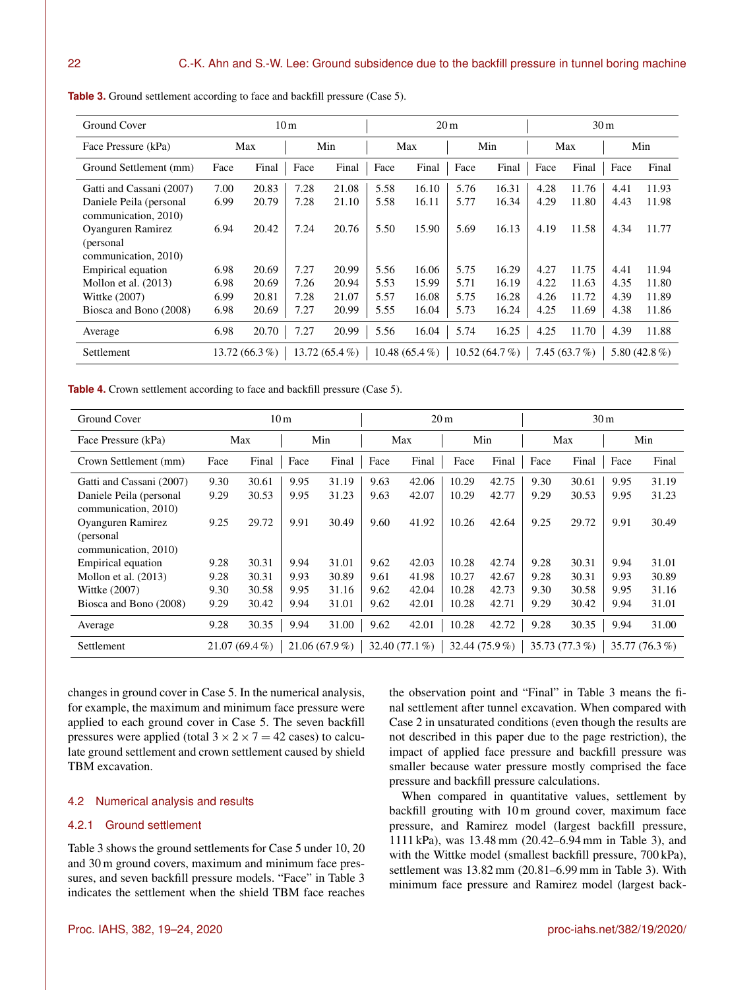| Ground Cover             | 10 <sub>m</sub> |                  |      |                 | 20 <sub>m</sub> |                  |      |              | 30 <sub>m</sub> |                 |      |                 |
|--------------------------|-----------------|------------------|------|-----------------|-----------------|------------------|------|--------------|-----------------|-----------------|------|-----------------|
| Face Pressure (kPa)      | Max             |                  | Min  |                 | Max             |                  | Min  |              | Max             |                 | Min  |                 |
| Ground Settlement (mm)   | Face            | Final            | Face | Final           | Face            | Final            | Face | Final        | Face            | Final           | Face | Final           |
| Gatti and Cassani (2007) | 7.00            | 20.83            | 7.28 | 21.08           | 5.58            | 16.10            | 5.76 | 16.31        | 4.28            | 11.76           | 4.41 | 11.93           |
| Daniele Peila (personal  | 6.99            | 20.79            | 7.28 | 21.10           | 5.58            | 16.11            | 5.77 | 16.34        | 4.29            | 11.80           | 4.43 | 11.98           |
| communication, 2010)     |                 |                  |      |                 |                 |                  |      |              |                 |                 |      |                 |
| Oyanguren Ramirez        | 6.94            | 20.42            | 7.24 | 20.76           | 5.50            | 15.90            | 5.69 | 16.13        | 4.19            | 11.58           | 4.34 | 11.77           |
| (personal)               |                 |                  |      |                 |                 |                  |      |              |                 |                 |      |                 |
| communication, 2010)     |                 |                  |      |                 |                 |                  |      |              |                 |                 |      |                 |
| Empirical equation       | 6.98            | 20.69            | 7.27 | 20.99           | 5.56            | 16.06            | 5.75 | 16.29        | 4.27            | 11.75           | 4.41 | 11.94           |
| Mollon et al. $(2013)$   | 6.98            | 20.69            | 7.26 | 20.94           | 5.53            | 15.99            | 5.71 | 16.19        | 4.22            | 11.63           | 4.35 | 11.80           |
| Wittke (2007)            | 6.99            | 20.81            | 7.28 | 21.07           | 5.57            | 16.08            | 5.75 | 16.28        | 4.26            | 11.72           | 4.39 | 11.89           |
| Biosca and Bono (2008)   | 6.98            | 20.69            | 7.27 | 20.99           | 5.55            | 16.04            | 5.73 | 16.24        | 4.25            | 11.69           | 4.38 | 11.86           |
| Average                  | 6.98            | 20.70            | 7.27 | 20.99           | 5.56            | 16.04            | 5.74 | 16.25        | 4.25            | 11.70           | 4.39 | 11.88           |
| Settlement               |                 | 13.72 $(66.3\%)$ |      | $13.72(65.4\%)$ |                 | 10.48 $(65.4\%)$ |      | 10.52(64.7%) |                 | 7.45 $(63.7\%)$ |      | 5.80 $(42.8\%)$ |

**Table 3.** Ground settlement according to face and backfill pressure (Case 5).

**Table 4.** Crown settlement according to face and backfill pressure (Case 5).

| Ground Cover             | 10 <sub>m</sub> |                 |      |                 | 20 <sub>m</sub> |                  |       |                | 30 <sub>m</sub> |              |      |                |
|--------------------------|-----------------|-----------------|------|-----------------|-----------------|------------------|-------|----------------|-----------------|--------------|------|----------------|
| Face Pressure (kPa)      | Max             |                 | Min  |                 | Max             |                  | Min   |                | Max             |              | Min  |                |
| Crown Settlement (mm)    | Face            | Final           | Face | Final           | Face            | Final            | Face  | Final          | Face            | Final        | Face | Final          |
| Gatti and Cassani (2007) | 9.30            | 30.61           | 9.95 | 31.19           | 9.63            | 42.06            | 10.29 | 42.75          | 9.30            | 30.61        | 9.95 | 31.19          |
| Daniele Peila (personal  | 9.29            | 30.53           | 9.95 | 31.23           | 9.63            | 42.07            | 10.29 | 42.77          | 9.29            | 30.53        | 9.95 | 31.23          |
| communication, 2010)     |                 |                 |      |                 |                 |                  |       |                |                 |              |      |                |
| Oyanguren Ramirez        | 9.25            | 29.72           | 9.91 | 30.49           | 9.60            | 41.92            | 10.26 | 42.64          | 9.25            | 29.72        | 9.91 | 30.49          |
| (personal)               |                 |                 |      |                 |                 |                  |       |                |                 |              |      |                |
| communication, 2010)     |                 |                 |      |                 |                 |                  |       |                |                 |              |      |                |
| Empirical equation       | 9.28            | 30.31           | 9.94 | 31.01           | 9.62            | 42.03            | 10.28 | 42.74          | 9.28            | 30.31        | 9.94 | 31.01          |
| Mollon et al. $(2013)$   | 9.28            | 30.31           | 9.93 | 30.89           | 9.61            | 41.98            | 10.27 | 42.67          | 9.28            | 30.31        | 9.93 | 30.89          |
| Wittke (2007)            | 9.30            | 30.58           | 9.95 | 31.16           | 9.62            | 42.04            | 10.28 | 42.73          | 9.30            | 30.58        | 9.95 | 31.16          |
| Biosca and Bono (2008)   | 9.29            | 30.42           | 9.94 | 31.01           | 9.62            | 42.01            | 10.28 | 42.71          | 9.29            | 30.42        | 9.94 | 31.01          |
| Average                  | 9.28            | 30.35           | 9.94 | 31.00           | 9.62            | 42.01            | 10.28 | 42.72          | 9.28            | 30.35        | 9.94 | 31.00          |
| Settlement               |                 | $21.07(69.4\%)$ |      | $21.06(67.9\%)$ |                 | 32.40 $(77.1\%)$ |       | 32.44 (75.9 %) |                 | 35.73(77.3%) |      | 35.77 (76.3 %) |

changes in ground cover in Case 5. In the numerical analysis, for example, the maximum and minimum face pressure were applied to each ground cover in Case 5. The seven backfill pressures were applied (total  $3 \times 2 \times 7 = 42$  cases) to calculate ground settlement and crown settlement caused by shield TBM excavation.

#### 4.2 Numerical analysis and results

#### 4.2.1 Ground settlement

Table 3 shows the ground settlements for Case 5 under 10, 20 and 30 m ground covers, maximum and minimum face pressures, and seven backfill pressure models. "Face" in Table 3 indicates the settlement when the shield TBM face reaches the observation point and "Final" in Table 3 means the final settlement after tunnel excavation. When compared with Case 2 in unsaturated conditions (even though the results are not described in this paper due to the page restriction), the impact of applied face pressure and backfill pressure was smaller because water pressure mostly comprised the face pressure and backfill pressure calculations.

When compared in quantitative values, settlement by backfill grouting with 10 m ground cover, maximum face pressure, and Ramirez model (largest backfill pressure, 1111 kPa), was 13.48 mm (20.42–6.94 mm in Table 3), and with the Wittke model (smallest backfill pressure, 700 kPa), settlement was 13.82 mm (20.81–6.99 mm in Table 3). With minimum face pressure and Ramirez model (largest back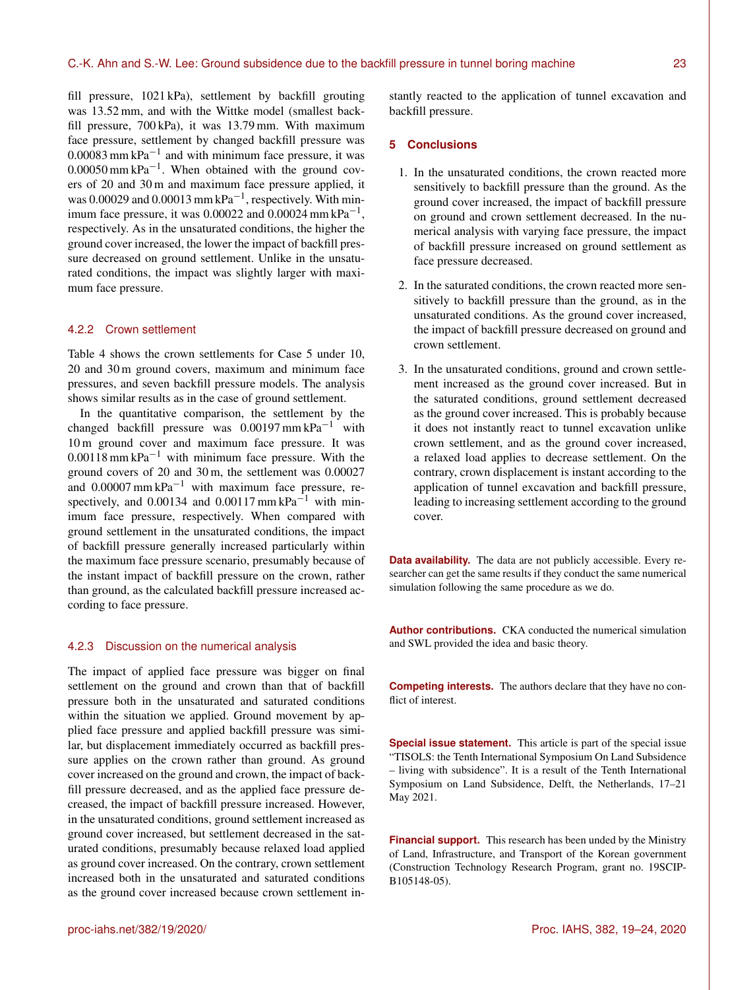fill pressure, 1021 kPa), settlement by backfill grouting was 13.52 mm, and with the Wittke model (smallest backfill pressure, 700 kPa), it was 13.79 mm. With maximum face pressure, settlement by changed backfill pressure was  $0.00083$  mm kPa<sup>-1</sup> and with minimum face pressure, it was  $0.00050$  mm kPa<sup>-1</sup>. When obtained with the ground covers of 20 and 30 m and maximum face pressure applied, it was 0.00029 and 0.00013 mm  $kPa^{-1}$ , respectively. With minimum face pressure, it was  $0.00022$  and  $0.00024$  mm kPa<sup>-1</sup>, respectively. As in the unsaturated conditions, the higher the ground cover increased, the lower the impact of backfill pressure decreased on ground settlement. Unlike in the unsaturated conditions, the impact was slightly larger with maximum face pressure.

#### 4.2.2 Crown settlement

Table 4 shows the crown settlements for Case 5 under 10, 20 and 30 m ground covers, maximum and minimum face pressures, and seven backfill pressure models. The analysis shows similar results as in the case of ground settlement.

In the quantitative comparison, the settlement by the changed backfill pressure was  $0.00197$  mm kPa<sup>-1</sup> with 10 m ground cover and maximum face pressure. It was  $0.00118$  mm kPa<sup>-1</sup> with minimum face pressure. With the ground covers of 20 and 30 m, the settlement was 0.00027 and  $0.00007$  mm kPa<sup>-1</sup> with maximum face pressure, respectively, and 0.00134 and 0.00117 mm kPa<sup> $-1$ </sup> with minimum face pressure, respectively. When compared with ground settlement in the unsaturated conditions, the impact of backfill pressure generally increased particularly within the maximum face pressure scenario, presumably because of the instant impact of backfill pressure on the crown, rather than ground, as the calculated backfill pressure increased according to face pressure.

#### 4.2.3 Discussion on the numerical analysis

The impact of applied face pressure was bigger on final settlement on the ground and crown than that of backfill pressure both in the unsaturated and saturated conditions within the situation we applied. Ground movement by applied face pressure and applied backfill pressure was similar, but displacement immediately occurred as backfill pressure applies on the crown rather than ground. As ground cover increased on the ground and crown, the impact of backfill pressure decreased, and as the applied face pressure decreased, the impact of backfill pressure increased. However, in the unsaturated conditions, ground settlement increased as ground cover increased, but settlement decreased in the saturated conditions, presumably because relaxed load applied as ground cover increased. On the contrary, crown settlement increased both in the unsaturated and saturated conditions as the ground cover increased because crown settlement instantly reacted to the application of tunnel excavation and backfill pressure.

#### **5 Conclusions**

- 1. In the unsaturated conditions, the crown reacted more sensitively to backfill pressure than the ground. As the ground cover increased, the impact of backfill pressure on ground and crown settlement decreased. In the numerical analysis with varying face pressure, the impact of backfill pressure increased on ground settlement as face pressure decreased.
- 2. In the saturated conditions, the crown reacted more sensitively to backfill pressure than the ground, as in the unsaturated conditions. As the ground cover increased, the impact of backfill pressure decreased on ground and crown settlement.
- 3. In the unsaturated conditions, ground and crown settlement increased as the ground cover increased. But in the saturated conditions, ground settlement decreased as the ground cover increased. This is probably because it does not instantly react to tunnel excavation unlike crown settlement, and as the ground cover increased, a relaxed load applies to decrease settlement. On the contrary, crown displacement is instant according to the application of tunnel excavation and backfill pressure, leading to increasing settlement according to the ground cover.

**Data availability.** The data are not publicly accessible. Every researcher can get the same results if they conduct the same numerical simulation following the same procedure as we do.

**Author contributions.** CKA conducted the numerical simulation and SWL provided the idea and basic theory.

**Competing interests.** The authors declare that they have no conflict of interest.

**Special issue statement.** This article is part of the special issue "TISOLS: the Tenth International Symposium On Land Subsidence – living with subsidence". It is a result of the Tenth International Symposium on Land Subsidence, Delft, the Netherlands, 17–21 May 2021.

**Financial support.** This research has been unded by the Ministry of Land, Infrastructure, and Transport of the Korean government (Construction Technology Research Program, grant no. 19SCIP-B105148-05).